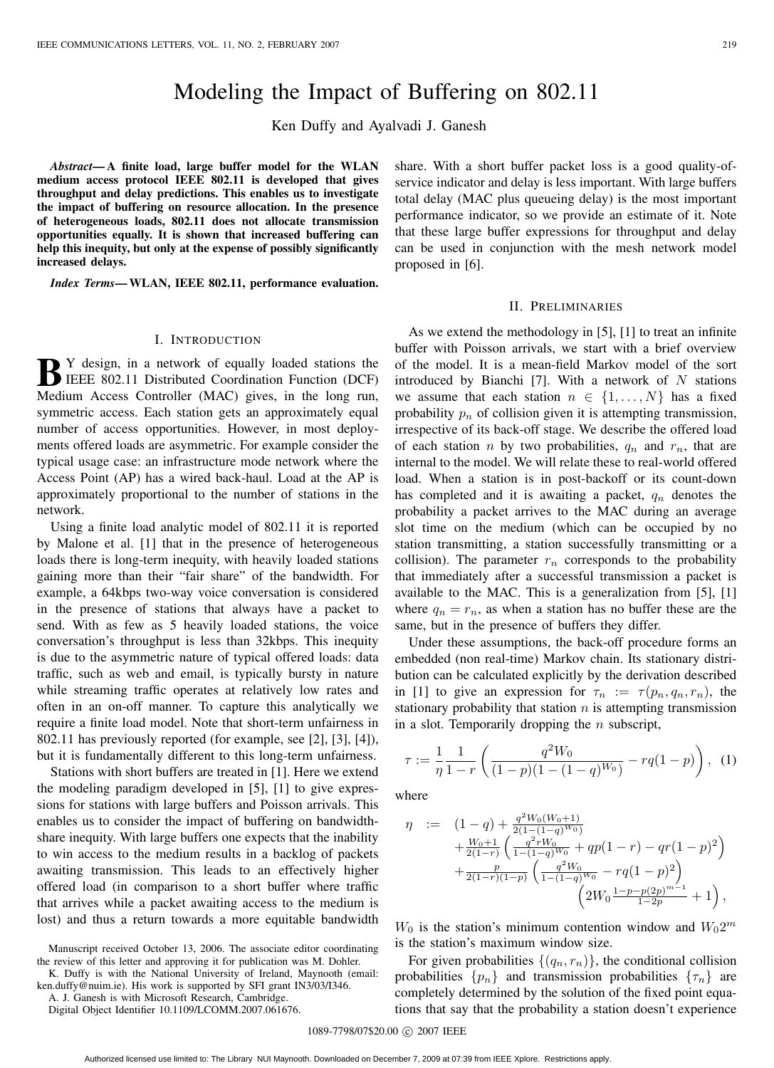# Modeling the Impact of Buffering on 802.11

Ken Duffy and Ayalvadi J. Ganesh

*Abstract***— A finite load, large buffer model for the WLAN medium access protocol IEEE 802.11 is developed that gives throughput and delay predictions. This enables us to investigate the impact of buffering on resource allocation. In the presence of heterogeneous loads, 802.11 does not allocate transmission opportunities equally. It is shown that increased buffering can help this inequity, but only at the expense of possibly significantly increased delays.**

*Index Terms***— WLAN, IEEE 802.11, performance evaluation.**

#### I. INTRODUCTION

**B** Y design, in a network of equally loaded stations the IEEE 802.11 Distributed Coordination Function (DCF) Medium Access Controller (MAC) gives, in the long run, symmetric access. Each station gets an approximately equal number of access opportunities. However, in most deployments offered loads are asymmetric. For example consider the typical usage case: an infrastructure mode network where the Access Point (AP) has a wired back-haul. Load at the AP is approximately proportional to the number of stations in the network.

Using a finite load analytic model of 802.11 it is reported by Malone et al. [1] that in the presence of heterogeneous loads there is long-term inequity, with heavily loaded stations gaining more than their "fair share" of the bandwidth. For example, a 64kbps two-way voice conversation is considered in the presence of stations that always have a packet to send. With as few as 5 heavily loaded stations, the voice conversation's throughput is less than 32kbps. This inequity is due to the asymmetric nature of typical offered loads: data traffic, such as web and email, is typically bursty in nature while streaming traffic operates at relatively low rates and often in an on-off manner. To capture this analytically we require a finite load model. Note that short-term unfairness in 802.11 has previously reported (for example, see [2], [3], [4]), but it is fundamentally different to this long-term unfairness.

Stations with short buffers are treated in [1]. Here we extend the modeling paradigm developed in [5], [1] to give expressions for stations with large buffers and Poisson arrivals. This enables us to consider the impact of buffering on bandwidthshare inequity. With large buffers one expects that the inability to win access to the medium results in a backlog of packets awaiting transmission. This leads to an effectively higher offered load (in comparison to a short buffer where traffic that arrives while a packet awaiting access to the medium is lost) and thus a return towards a more equitable bandwidth

Manuscript received October 13, 2006. The associate editor coordinating the review of this letter and approving it for publication was M. Dohler.

K. Duffy is with the National University of Ireland, Maynooth (email: ken.duffy@nuim.ie). His work is supported by SFI grant IN3/03/I346.

A. J. Ganesh is with Microsoft Research, Cambridge.

Digital Object Identifier 10.1109/LCOMM.2007.061676.

share. With a short buffer packet loss is a good quality-ofservice indicator and delay is less important. With large buffers total delay (MAC plus queueing delay) is the most important performance indicator, so we provide an estimate of it. Note that these large buffer expressions for throughput and delay can be used in conjunction with the mesh network model proposed in [6].

## II. PRELIMINARIES

As we extend the methodology in [5], [1] to treat an infinite buffer with Poisson arrivals, we start with a brief overview of the model. It is a mean-field Markov model of the sort introduced by Bianchi [7]. With a network of  $N$  stations we assume that each station  $n \in \{1, ..., N\}$  has a fixed probability  $p_n$  of collision given it is attempting transmission, irrespective of its back-off stage. We describe the offered load of each station n by two probabilities,  $q_n$  and  $r_n$ , that are internal to the model. We will relate these to real-world offered load. When a station is in post-backoff or its count-down has completed and it is awaiting a packet,  $q_n$  denotes the probability a packet arrives to the MAC during an average slot time on the medium (which can be occupied by no station transmitting, a station successfully transmitting or a collision). The parameter  $r_n$  corresponds to the probability that immediately after a successful transmission a packet is available to the MAC. This is a generalization from [5], [1] where  $q_n = r_n$ , as when a station has no buffer these are the same, but in the presence of buffers they differ.

Under these assumptions, the back-off procedure forms an embedded (non real-time) Markov chain. Its stationary distribution can be calculated explicitly by the derivation described in [1] to give an expression for  $\tau_n := \tau(p_n, q_n, r_n)$ , the stationary probability that station  $n$  is attempting transmission in a slot. Temporarily dropping the  $n$  subscript,

$$
\tau := \frac{1}{\eta} \frac{1}{1 - r} \left( \frac{q^2 W_0}{(1 - p)(1 - (1 - q)^{W_0})} - r q (1 - p) \right), \tag{1}
$$

where

$$
\eta := (1-q) + \frac{q^2 W_0(W_0+1)}{2(1-(1-q)W_0)} \n+ \frac{W_0+1}{2(1-r)} \left( \frac{q^2 r W_0}{1-(1-q)W_0} + qp(1-r) - qr(1-p)^2 \right) \n+ \frac{p}{2(1-r)(1-p)} \left( \frac{q^2 W_0}{1-(1-q)W_0} - rq(1-p)^2 \right) \n\left( 2W_0 \frac{1-p-p(2p)^{m-1}}{1-2p} + 1 \right),
$$

 $W_0$  is the station's minimum contention window and  $W_0 2^m$ is the station's maximum window size.

For given probabilities  $\{(q_n, r_n)\}\)$ , the conditional collision probabilities  $\{p_n\}$  and transmission probabilities  $\{\tau_n\}$  are completely determined by the solution of the fixed point equations that say that the probability a station doesn't experience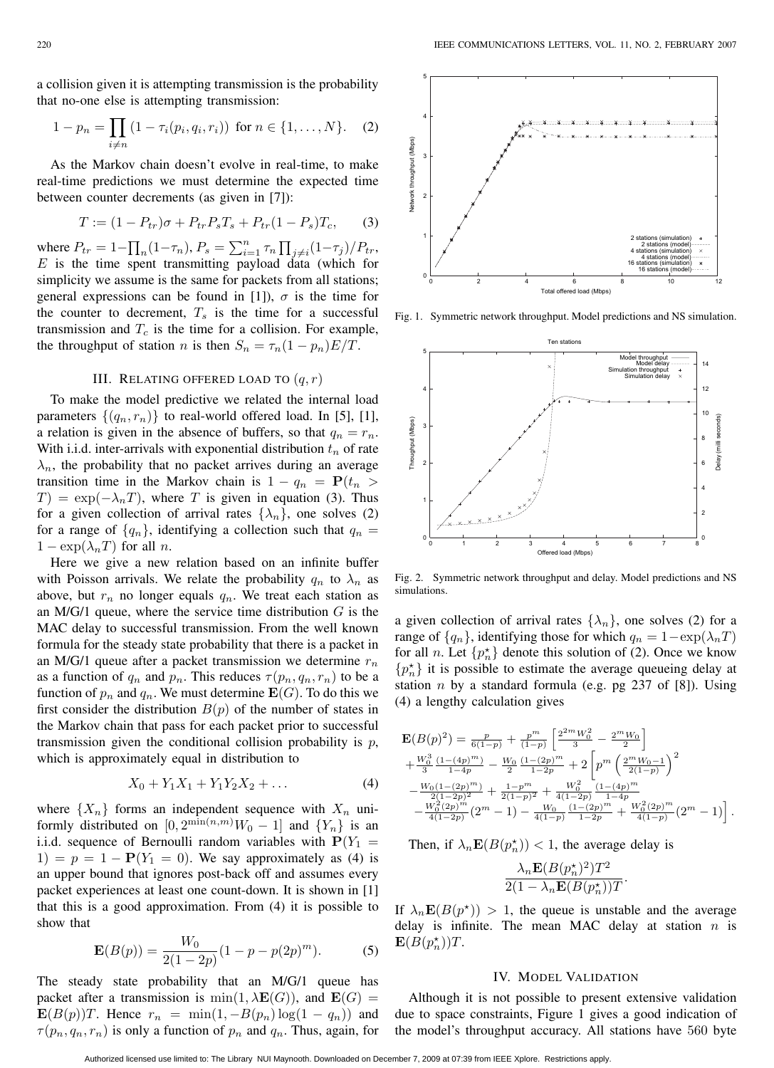a collision given it is attempting transmission is the probability that no-one else is attempting transmission:

$$
1 - p_n = \prod_{i \neq n} (1 - \tau_i(p_i, q_i, r_i)) \text{ for } n \in \{1, ..., N\}. \tag{2}
$$

As the Markov chain doesn't evolve in real-time, to make real-time predictions we must determine the expected time between counter decrements (as given in [7]):

$$
T := (1 - P_{tr})\sigma + P_{tr}P_sT_s + P_{tr}(1 - P_s)T_c,
$$
 (3)

where  $P_{tr} = 1 - \prod_n (1 - \tau_n)$ ,  $P_s = \sum_{i=1}^n \tau_n \prod_{j \neq i} (1 - \tau_j) / P_{tr}$ , <br>*E* is the time spent transmitting payload data (which for  $E$  is the time spent transmitting payload data (which for simplicity we assume is the same for packets from all stations; general expressions can be found in [1]),  $\sigma$  is the time for the counter to decrement,  $T_s$  is the time for a successful transmission and  $T_c$  is the time for a collision. For example, the throughput of station n is then  $S_n = \tau_n(1 - p_n)E/T$ .

### III. RELATING OFFERED LOAD TO  $(q, r)$

To make the model predictive we related the internal load parameters  $\{(q_n, r_n)\}\$  to real-world offered load. In [5], [1], a relation is given in the absence of buffers, so that  $q_n = r_n$ . With i.i.d. inter-arrivals with exponential distribution  $t_n$  of rate  $\lambda_n$ , the probability that no packet arrives during an average transition time in the Markov chain is  $1 - q_n = P(t_n >$  $T$ ) = exp( $-\lambda_n T$ ), where T is given in equation (3). Thus for a given collection of arrival rates  $\{\lambda_n\}$ , one solves (2) for a range of  $\{q_n\}$ , identifying a collection such that  $q_n =$  $1 - \exp(\lambda_n T)$  for all *n*.

Here we give a new relation based on an infinite buffer with Poisson arrivals. We relate the probability  $q_n$  to  $\lambda_n$  as above, but  $r_n$  no longer equals  $q_n$ . We treat each station as an M/G/1 queue, where the service time distribution  $G$  is the MAC delay to successful transmission. From the well known formula for the steady state probability that there is a packet in an M/G/1 queue after a packet transmission we determine  $r_n$ as a function of  $q_n$  and  $p_n$ . This reduces  $\tau(p_n, q_n, r_n)$  to be a function of  $p_n$  and  $q_n$ . We must determine  $\mathbf{E}(G)$ . To do this we first consider the distribution  $B(p)$  of the number of states in the Markov chain that pass for each packet prior to successful transmission given the conditional collision probability is  $p$ , which is approximately equal in distribution to

$$
X_0 + Y_1 X_1 + Y_1 Y_2 X_2 + \dots \tag{4}
$$

where  $\{X_n\}$  forms an independent sequence with  $X_n$  uniformly distributed on  $[0, 2^{\min(n,m)}W_0 - 1]$  and  $\{Y_n\}$  is an i.i.d. sequence of Bernoulli random variables with  $\mathbf{P}(Y_n - 1)$ i.i.d. sequence of Bernoulli random variables with  $P(Y_1 =$ 1) =  $p = 1 - P(Y_1 = 0)$ . We say approximately as (4) is an upper bound that ignores post-back off and assumes every packet experiences at least one count-down. It is shown in [1] that this is a good approximation. From (4) it is possible to show that

$$
\mathbf{E}(B(p)) = \frac{W_0}{2(1-2p)}(1-p-p(2p)^m).
$$
 (5)

The steady state probability that an M/G/1 queue has packet after a transmission is  $min(1, \lambda \mathbf{E}(G))$ , and  $\mathbf{E}(G)$  = **E** $(B(p))T$ . Hence  $r_n = \min(1, -B(p_n) \log(1 - q_n))$  and  $\tau(p_n, q_n, r_n)$  is only a function of  $p_n$  and  $q_n$ . Thus, again, for

Fig. 2. Symmetric network throughput and delay. Model predictions and NS simulations.

a given collection of arrival rates  $\{\lambda_n\}$ , one solves (2) for a range of  $\{q_n\}$ , identifying those for which  $q_n = 1 - \exp(\lambda_n T)$ for all *n*. Let  $\{p_n^{\star}\}\$  denote this solution of (2). Once we know  $\{p_n^{\star}\}\$ it is possible to estimate the average queueing delay at station  $n$  by a standard formula (e.g. pg 237 of [8]). Using (4) a lengthy calculation gives

$$
\mathbf{E}(B(p)^2) = \frac{p}{6(1-p)} + \frac{p^m}{(1-p)} \left[ \frac{2^{2m} W_0^2}{3} - \frac{2^m W_0}{2} \right] \n+ \frac{W_0^3}{3} \frac{(1-(4p)^m)}{1-4p} - \frac{W_0}{2} \frac{(1-(2p)^m}{1-2p} + 2 \left[ p^m \left( \frac{2^m W_0 - 1}{2(1-p)} \right)^2 \right. \n- \frac{W_0 (1-(2p)^m)}{2(1-p)^2} + \frac{1-p^m}{2(1-p)^2} + \frac{W_0^2}{4(1-2p)} \frac{(1-(4p)^m}{1-4p} \n- \frac{W_0^2 (2p)^m}{4(1-2p)} (2^m - 1) - \frac{W_0}{4(1-p)} \frac{(1-(2p)^m}{1-2p} + \frac{W_0^2 (2p)^m}{4(1-p)} (2^m - 1) \right].
$$

Then, if  $\lambda_n \mathbf{E}(B(p_n^*)) < 1$ , the average delay is

$$
\frac{\lambda_n \mathbf{E}(B(p_n^*)^2)T^2}{2(1-\lambda_n \mathbf{E}(B(p_n^*))T}.
$$

If  $\lambda_n \mathbf{E}(B(p^*)$  > 1, the queue is unstable and the average delay is infinite. The mean MAC delay at station  $n$  is  $\mathbf{E}(B(p_n^*))T$ .

#### IV. MODEL VALIDATION

Although it is not possible to present extensive validation due to space constraints, Figure 1 gives a good indication of the model's throughput accuracy. All stations have 560 byte



Fig. 1. Symmetric network throughput. Model predictions and NS simulation.